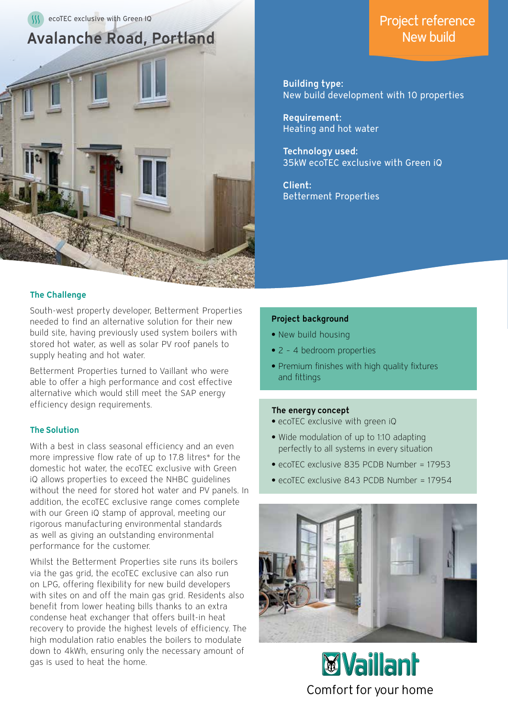

## The Challenge

South-west property developer, Betterment Properties needed to find an alternative solution for their new build site, having previously used system boilers with stored hot water, as well as solar PV roof panels to supply heating and hot water.

Betterment Properties turned to Vaillant who were able to offer a high performance and cost effective alternative which would still meet the SAP energy efficiency design requirements.

### The Solution

With a best in class seasonal efficiency and an even more impressive flow rate of up to 17.8 litres\* for the domestic hot water, the ecoTEC exclusive with Green iQ allows properties to exceed the NHBC guidelines without the need for stored hot water and PV panels. In addition, the ecoTEC exclusive range comes complete with our Green iQ stamp of approval, meeting our rigorous manufacturing environmental standards as well as giving an outstanding environmental performance for the customer.

Whilst the Betterment Properties site runs its boilers via the gas grid, the ecoTEC exclusive can also run on LPG, offering flexibility for new build developers with sites on and off the main gas grid. Residents also benefit from lower heating bills thanks to an extra condense heat exchanger that offers built-in heat recovery to provide the highest levels of efficiency. The high modulation ratio enables the boilers to modulate down to 4kWh, ensuring only the necessary amount of gas is used to heat the home.

# Project reference New build

Building type: New build development with 10 properties

Requirement: Heating and hot water

Technology used: 35kW ecoTEC exclusive with Green iQ

Client: Betterment Properties

#### Project background

- **•** New build housing
- **•** 2 4 bedroom properties
- **•** Premium finishes with high quality fixtures and fittings

#### The energy concept

- **•** ecoTEC exclusive with green iQ
- **•** Wide modulation of up to 1:10 adapting perfectly to all systems in every situation
- **•** ecoTEC exclusive 835 PCDB Number = 17953
- **•** ecoTEC exclusive 843 PCDB Number = 17954



**EVaillant** Comfort for your home